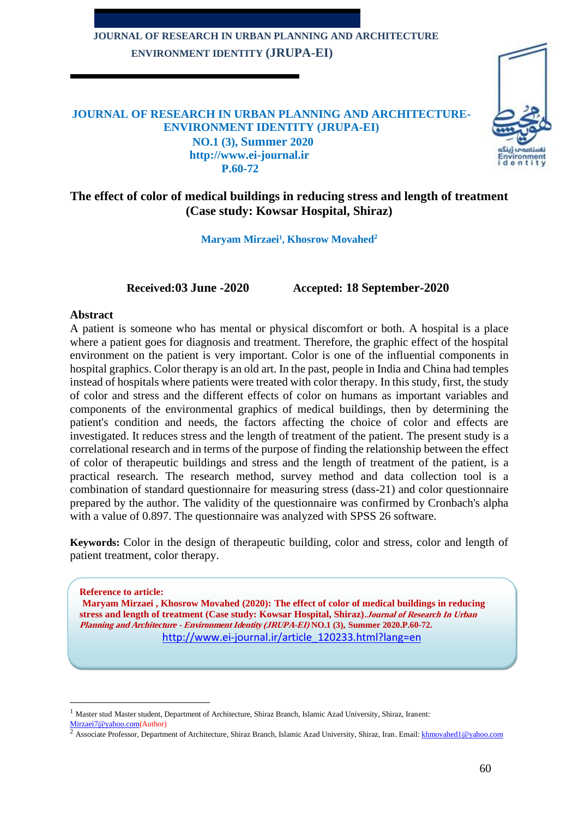# **JOURNAL OF RESEARCH IN URBAN PLANNING AND ARCHITECTURE ENVIRONMENT IDENTITY (JRUPA-EI)**



## **JOURNAL OF RESEARCH IN URBAN PLANNING AND ARCHITECTURE-ENVIRONMENT IDENTITY (JRUPA-EI) NO.1 (3), Summer 2020 http://www.ei-journal.ir P.60-72**

# **The effect of color of medical buildings in reducing stress and length of treatment (Case study: Kowsar Hospital, Shiraz)**

**Maryam Mirzaei<sup>1</sup> , Khosrow Movahed<sup>2</sup>**

**Received:03 June -2020 Accepted: 18 September-2020**

## **Abstract**

A patient is someone who has mental or physical discomfort or both. A hospital is a place where a patient goes for diagnosis and treatment. Therefore, the graphic effect of the hospital environment on the patient is very important. Color is one of the influential components in hospital graphics. Color therapy is an old art. In the past, people in India and China had temples instead of hospitals where patients were treated with color therapy. In this study, first, the study of color and stress and the different effects of color on humans as important variables and components of the environmental graphics of medical buildings, then by determining the patient's condition and needs, the factors affecting the choice of color and effects are investigated. It reduces stress and the length of treatment of the patient. The present study is a correlational research and in terms of the purpose of finding the relationship between the effect of color of therapeutic buildings and stress and the length of treatment of the patient, is a practical research. The research method, survey method and data collection tool is a combination of standard questionnaire for measuring stress (dass-21) and color questionnaire prepared by the author. The validity of the questionnaire was confirmed by Cronbach's alpha with a value of 0.897. The questionnaire was analyzed with SPSS 26 software.

**Keywords:** Color in the design of therapeutic building, color and stress, color and length of patient treatment, color therapy.

**Reference to article: Maryam Mirzaei , Khosrow Movahed (2020): The effect of color of medical buildings in reducing stress and length of treatment (Case study: Kowsar Hospital, Shiraz).Journal of Research In Urban Planning and Architecture - Environment Identity (JRUPA-EI) NO.1 (3), Summer 2020.P.60-72.** http://www.ei-journal.ir/article\_120233.html?lang=en

<sup>&</sup>lt;sup>1</sup> Master stud Master student, Department of Architecture, Shiraz Branch, Islamic Azad University, Shiraz, Iranent: [Mirzaei7@yahoo.com\(](mailto:Mirzaei7@yahoo.com)Author)

<sup>&</sup>lt;sup>2</sup> Associate Professor, Department of Architecture, Shiraz Branch, Islamic Azad University, Shiraz, Iran. Email: [khmovahed1@yahoo.com](mailto:khmovahed1@yahoo.com)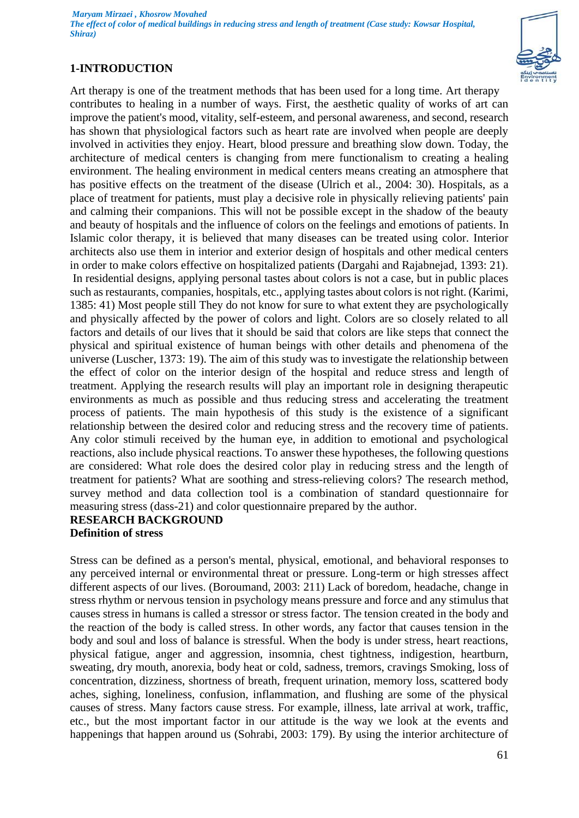# **1-INTRODUCTION**



Art therapy is one of the treatment methods that has been used for a long time. Art therapy contributes to healing in a number of ways. First, the aesthetic quality of works of art can improve the patient's mood, vitality, self-esteem, and personal awareness, and second, research has shown that physiological factors such as heart rate are involved when people are deeply involved in activities they enjoy. Heart, blood pressure and breathing slow down. Today, the architecture of medical centers is changing from mere functionalism to creating a healing environment. The healing environment in medical centers means creating an atmosphere that has positive effects on the treatment of the disease (Ulrich et al., 2004: 30). Hospitals, as a place of treatment for patients, must play a decisive role in physically relieving patients' pain and calming their companions. This will not be possible except in the shadow of the beauty and beauty of hospitals and the influence of colors on the feelings and emotions of patients. In Islamic color therapy, it is believed that many diseases can be treated using color. Interior architects also use them in interior and exterior design of hospitals and other medical centers in order to make colors effective on hospitalized patients (Dargahi and Rajabnejad, 1393: 21) . In residential designs, applying personal tastes about colors is not a case, but in public places such as restaurants, companies, hospitals, etc., applying tastes about colors is not right. (Karimi, 1385: 41) Most people still They do not know for sure to what extent they are psychologically and physically affected by the power of colors and light. Colors are so closely related to all factors and details of our lives that it should be said that colors are like steps that connect the physical and spiritual existence of human beings with other details and phenomena of the universe (Luscher, 1373: 19). The aim of this study was to investigate the relationship between the effect of color on the interior design of the hospital and reduce stress and length of treatment. Applying the research results will play an important role in designing therapeutic environments as much as possible and thus reducing stress and accelerating the treatment process of patients. The main hypothesis of this study is the existence of a significant relationship between the desired color and reducing stress and the recovery time of patients. Any color stimuli received by the human eye, in addition to emotional and psychological reactions, also include physical reactions. To answer these hypotheses, the following questions are considered: What role does the desired color play in reducing stress and the length of treatment for patients? What are soothing and stress-relieving colors? The research method, survey method and data collection tool is a combination of standard questionnaire for measuring stress (dass-21) and color questionnaire prepared by the author.

#### **RESEARCH BACKGROUND Definition of stress**

Stress can be defined as a person's mental, physical, emotional, and behavioral responses to any perceived internal or environmental threat or pressure. Long-term or high stresses affect different aspects of our lives. (Boroumand, 2003: 211) Lack of boredom, headache, change in stress rhythm or nervous tension in psychology means pressure and force and any stimulus that causes stress in humans is called a stressor or stress factor. The tension created in the body and the reaction of the body is called stress. In other words, any factor that causes tension in the body and soul and loss of balance is stressful. When the body is under stress, heart reactions, physical fatigue, anger and aggression, insomnia, chest tightness, indigestion, heartburn, sweating, dry mouth, anorexia, body heat or cold, sadness, tremors, cravings Smoking, loss of concentration, dizziness, shortness of breath, frequent urination, memory loss, scattered body aches, sighing, loneliness, confusion, inflammation, and flushing are some of the physical causes of stress. Many factors cause stress. For example, illness, late arrival at work, traffic, etc., but the most important factor in our attitude is the way we look at the events and happenings that happen around us (Sohrabi, 2003: 179). By using the interior architecture of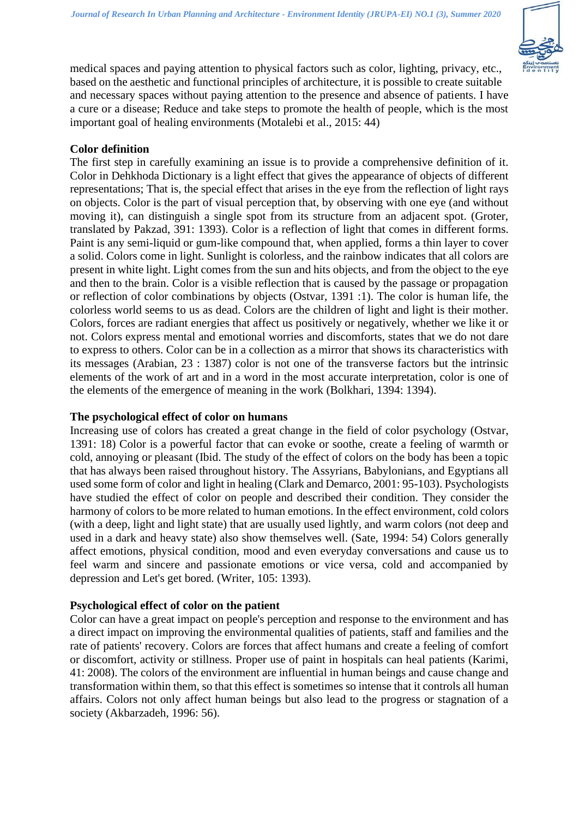

medical spaces and paying attention to physical factors such as color, lighting, privacy, etc., based on the aesthetic and functional principles of architecture, it is possible to create suitable and necessary spaces without paying attention to the presence and absence of patients. I have a cure or a disease; Reduce and take steps to promote the health of people, which is the most important goal of healing environments (Motalebi et al., 2015: 44)

## **Color definition**

The first step in carefully examining an issue is to provide a comprehensive definition of it. Color in Dehkhoda Dictionary is a light effect that gives the appearance of objects of different representations; That is, the special effect that arises in the eye from the reflection of light rays on objects. Color is the part of visual perception that, by observing with one eye (and without moving it), can distinguish a single spot from its structure from an adjacent spot. (Groter, translated by Pakzad, 391: 1393). Color is a reflection of light that comes in different forms. Paint is any semi-liquid or gum-like compound that, when applied, forms a thin layer to cover a solid. Colors come in light. Sunlight is colorless, and the rainbow indicates that all colors are present in white light. Light comes from the sun and hits objects, and from the object to the eye and then to the brain. Color is a visible reflection that is caused by the passage or propagation or reflection of color combinations by objects (Ostvar, 1391 :1). The color is human life, the colorless world seems to us as dead. Colors are the children of light and light is their mother. Colors, forces are radiant energies that affect us positively or negatively, whether we like it or not. Colors express mental and emotional worries and discomforts, states that we do not dare to express to others. Color can be in a collection as a mirror that shows its characteristics with its messages (Arabian, 23 : 1387) color is not one of the transverse factors but the intrinsic elements of the work of art and in a word in the most accurate interpretation, color is one of the elements of the emergence of meaning in the work (Bolkhari, 1394: 1394).

## **The psychological effect of color on humans**

Increasing use of colors has created a great change in the field of color psychology (Ostvar, 1391: 18) Color is a powerful factor that can evoke or soothe, create a feeling of warmth or cold, annoying or pleasant (Ibid. The study of the effect of colors on the body has been a topic that has always been raised throughout history. The Assyrians, Babylonians, and Egyptians all used some form of color and light in healing (Clark and Demarco, 2001: 95-103). Psychologists have studied the effect of color on people and described their condition. They consider the harmony of colors to be more related to human emotions. In the effect environment, cold colors (with a deep, light and light state) that are usually used lightly, and warm colors (not deep and used in a dark and heavy state) also show themselves well. (Sate, 1994: 54) Colors generally affect emotions, physical condition, mood and even everyday conversations and cause us to feel warm and sincere and passionate emotions or vice versa, cold and accompanied by depression and Let's get bored. (Writer, 105: 1393).

## **Psychological effect of color on the patient**

Color can have a great impact on people's perception and response to the environment and has a direct impact on improving the environmental qualities of patients, staff and families and the rate of patients' recovery. Colors are forces that affect humans and create a feeling of comfort or discomfort, activity or stillness. Proper use of paint in hospitals can heal patients (Karimi, 41: 2008). The colors of the environment are influential in human beings and cause change and transformation within them, so that this effect is sometimes so intense that it controls all human affairs. Colors not only affect human beings but also lead to the progress or stagnation of a society (Akbarzadeh, 1996: 56).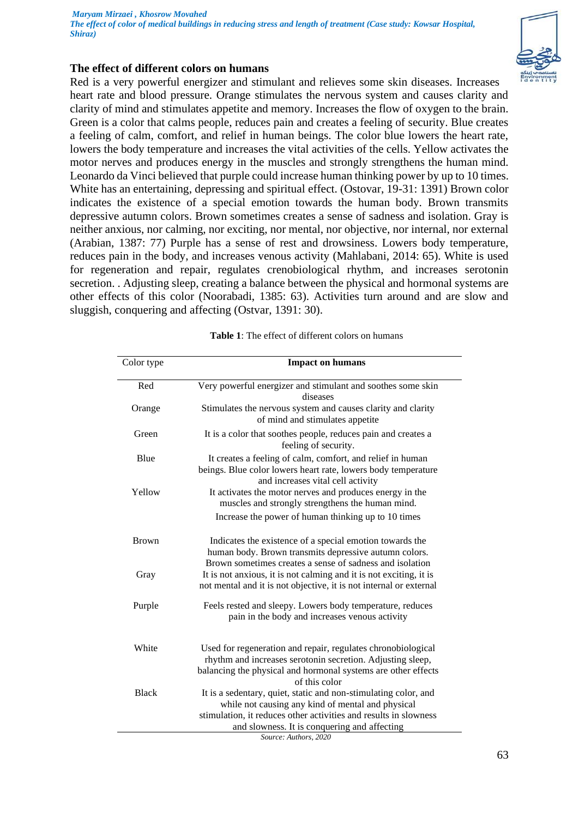## **The effect of different colors on humans**

Red is a very powerful energizer and stimulant and relieves some skin diseases. Increases heart rate and blood pressure. Orange stimulates the nervous system and causes clarity and clarity of mind and stimulates appetite and memory. Increases the flow of oxygen to the brain. Green is a color that calms people, reduces pain and creates a feeling of security. Blue creates a feeling of calm, comfort, and relief in human beings. The color blue lowers the heart rate, lowers the body temperature and increases the vital activities of the cells. Yellow activates the motor nerves and produces energy in the muscles and strongly strengthens the human mind. Leonardo da Vinci believed that purple could increase human thinking power by up to 10 times. White has an entertaining, depressing and spiritual effect. (Ostovar, 19-31: 1391) Brown color indicates the existence of a special emotion towards the human body. Brown transmits depressive autumn colors. Brown sometimes creates a sense of sadness and isolation. Gray is neither anxious, nor calming, nor exciting, nor mental, nor objective, nor internal, nor external (Arabian, 1387: 77) Purple has a sense of rest and drowsiness. Lowers body temperature, reduces pain in the body, and increases venous activity (Mahlabani, 2014: 65). White is used for regeneration and repair, regulates crenobiological rhythm, and increases serotonin secretion. . Adjusting sleep, creating a balance between the physical and hormonal systems are other effects of this color (Noorabadi, 1385: 63). Activities turn around and are slow and sluggish, conquering and affecting (Ostvar, 1391: 30).

| Color type   | <b>Impact on humans</b>                                                                                                                                                                                      |
|--------------|--------------------------------------------------------------------------------------------------------------------------------------------------------------------------------------------------------------|
| Red          | Very powerful energizer and stimulant and soothes some skin<br>diseases                                                                                                                                      |
| Orange       | Stimulates the nervous system and causes clarity and clarity<br>of mind and stimulates appetite                                                                                                              |
| Green        | It is a color that soothes people, reduces pain and creates a<br>feeling of security.                                                                                                                        |
| Blue         | It creates a feeling of calm, comfort, and relief in human<br>beings. Blue color lowers heart rate, lowers body temperature<br>and increases vital cell activity                                             |
| Yellow       | It activates the motor nerves and produces energy in the<br>muscles and strongly strengthens the human mind.                                                                                                 |
|              | Increase the power of human thinking up to 10 times                                                                                                                                                          |
| <b>Brown</b> | Indicates the existence of a special emotion towards the<br>human body. Brown transmits depressive autumn colors.<br>Brown sometimes creates a sense of sadness and isolation                                |
| Gray         | It is not anxious, it is not calming and it is not exciting, it is<br>not mental and it is not objective, it is not internal or external                                                                     |
| Purple       | Feels rested and sleepy. Lowers body temperature, reduces<br>pain in the body and increases venous activity                                                                                                  |
| White        | Used for regeneration and repair, regulates chronobiological<br>rhythm and increases serotonin secretion. Adjusting sleep,<br>balancing the physical and hormonal systems are other effects<br>of this color |
| <b>Black</b> | It is a sedentary, quiet, static and non-stimulating color, and<br>while not causing any kind of mental and physical<br>stimulation, it reduces other activities and results in slowness                     |
|              | and slowness. It is conquering and affecting<br>Source: Authors, 2020                                                                                                                                        |

**Table 1**: The effect of different colors on humans

63

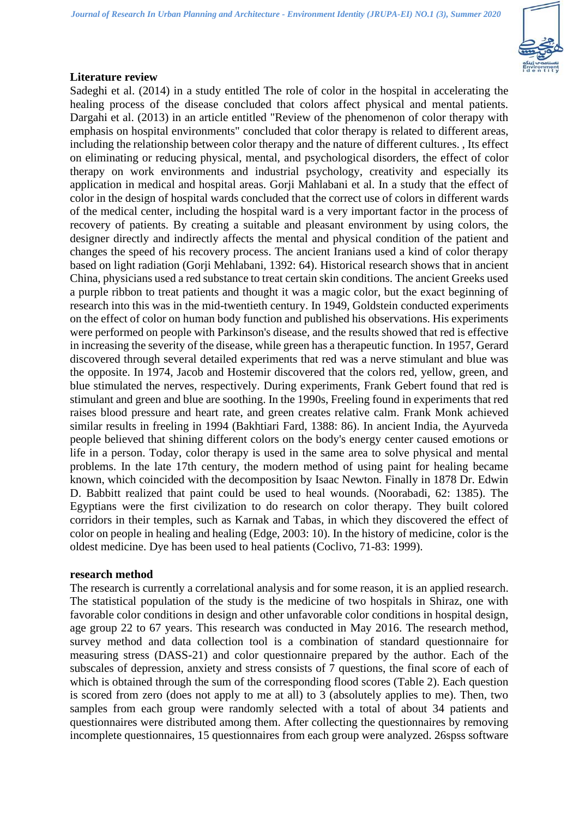

# **Literature review**

Sadeghi et al. (2014) in a study entitled The role of color in the hospital in accelerating the healing process of the disease concluded that colors affect physical and mental patients. Dargahi et al. (2013) in an article entitled "Review of the phenomenon of color therapy with emphasis on hospital environments" concluded that color therapy is related to different areas, including the relationship between color therapy and the nature of different cultures. , Its effect on eliminating or reducing physical, mental, and psychological disorders, the effect of color therapy on work environments and industrial psychology, creativity and especially its application in medical and hospital areas. Gorji Mahlabani et al. In a study that the effect of color in the design of hospital wards concluded that the correct use of colors in different wards of the medical center, including the hospital ward is a very important factor in the process of recovery of patients. By creating a suitable and pleasant environment by using colors, the designer directly and indirectly affects the mental and physical condition of the patient and changes the speed of his recovery process. The ancient Iranians used a kind of color therapy based on light radiation (Gorji Mehlabani, 1392: 64). Historical research shows that in ancient China, physicians used a red substance to treat certain skin conditions. The ancient Greeks used a purple ribbon to treat patients and thought it was a magic color, but the exact beginning of research into this was in the mid-twentieth century. In 1949, Goldstein conducted experiments on the effect of color on human body function and published his observations. His experiments were performed on people with Parkinson's disease, and the results showed that red is effective in increasing the severity of the disease, while green has a therapeutic function. In 1957, Gerard discovered through several detailed experiments that red was a nerve stimulant and blue was the opposite. In 1974, Jacob and Hostemir discovered that the colors red, yellow, green, and blue stimulated the nerves, respectively. During experiments, Frank Gebert found that red is stimulant and green and blue are soothing. In the 1990s, Freeling found in experiments that red raises blood pressure and heart rate, and green creates relative calm. Frank Monk achieved similar results in freeling in 1994 (Bakhtiari Fard, 1388: 86). In ancient India, the Ayurveda people believed that shining different colors on the body's energy center caused emotions or life in a person. Today, color therapy is used in the same area to solve physical and mental problems. In the late 17th century, the modern method of using paint for healing became known, which coincided with the decomposition by Isaac Newton. Finally in 1878 Dr. Edwin D. Babbitt realized that paint could be used to heal wounds. (Noorabadi, 62: 1385). The Egyptians were the first civilization to do research on color therapy. They built colored corridors in their temples, such as Karnak and Tabas, in which they discovered the effect of color on people in healing and healing (Edge, 2003: 10). In the history of medicine, color is the oldest medicine. Dye has been used to heal patients (Coclivo, 71-83: 1999).

## **research method**

The research is currently a correlational analysis and for some reason, it is an applied research. The statistical population of the study is the medicine of two hospitals in Shiraz, one with favorable color conditions in design and other unfavorable color conditions in hospital design, age group 22 to 67 years. This research was conducted in May 2016. The research method, survey method and data collection tool is a combination of standard questionnaire for measuring stress (DASS-21) and color questionnaire prepared by the author. Each of the subscales of depression, anxiety and stress consists of 7 questions, the final score of each of which is obtained through the sum of the corresponding flood scores (Table 2). Each question is scored from zero (does not apply to me at all) to 3 (absolutely applies to me). Then, two samples from each group were randomly selected with a total of about 34 patients and questionnaires were distributed among them. After collecting the questionnaires by removing incomplete questionnaires, 15 questionnaires from each group were analyzed. 26spss software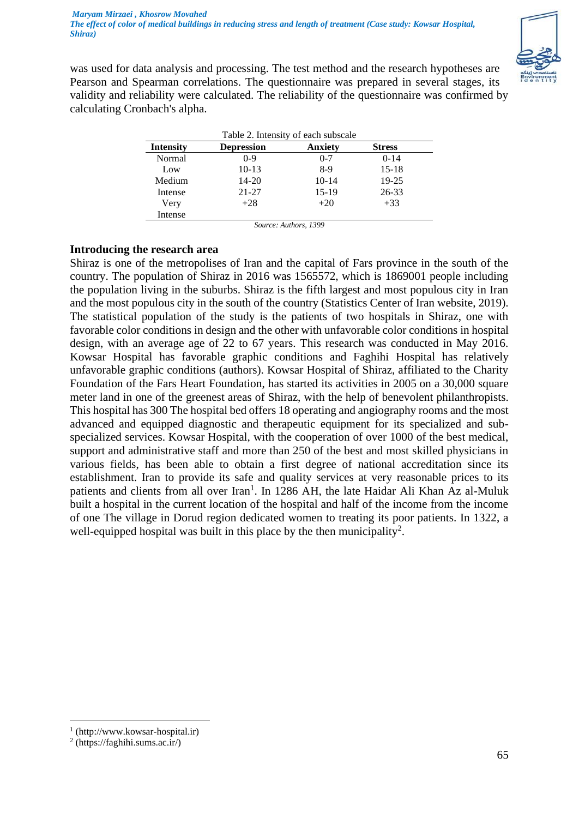

was used for data analysis and processing. The test method and the research hypotheses are Pearson and Spearman correlations. The questionnaire was prepared in several stages, its validity and reliability were calculated. The reliability of the questionnaire was confirmed by calculating Cronbach's alpha.

| Table 2. Intensity of each subscale |                   |                |               |  |  |
|-------------------------------------|-------------------|----------------|---------------|--|--|
| <b>Intensity</b>                    | <b>Depression</b> | <b>Anxiety</b> | <b>Stress</b> |  |  |
| Normal                              | $0 - 9$           | $0 - 7$        | $0 - 14$      |  |  |
| Low                                 | $10-13$           | 8-9            | $15 - 18$     |  |  |
| Medium                              | $14 - 20$         | $10-14$        | $19 - 25$     |  |  |
| Intense                             | $21 - 27$         | $15-19$        | 26-33         |  |  |
| Very                                | $+28$             | $+20$          | $+33$         |  |  |
| Intense                             | --                | .<br>----      |               |  |  |

*Source: Authors, 1399*

## **Introducing the research area**

Shiraz is one of the metropolises of Iran and the capital of Fars province in the south of the country. The population of Shiraz in 2016 was 1565572, which is 1869001 people including the population living in the suburbs. Shiraz is the fifth largest and most populous city in Iran and the most populous city in the south of the country (Statistics Center of Iran website, 2019). The statistical population of the study is the patients of two hospitals in Shiraz, one with favorable color conditions in design and the other with unfavorable color conditions in hospital design, with an average age of 22 to 67 years. This research was conducted in May 2016. Kowsar Hospital has favorable graphic conditions and Faghihi Hospital has relatively unfavorable graphic conditions (authors). Kowsar Hospital of Shiraz, affiliated to the Charity Foundation of the Fars Heart Foundation, has started its activities in 2005 on a 30,000 square meter land in one of the greenest areas of Shiraz, with the help of benevolent philanthropists. This hospital has 300 The hospital bed offers 18 operating and angiography rooms and the most advanced and equipped diagnostic and therapeutic equipment for its specialized and subspecialized services. Kowsar Hospital, with the cooperation of over 1000 of the best medical, support and administrative staff and more than 250 of the best and most skilled physicians in various fields, has been able to obtain a first degree of national accreditation since its establishment. Iran to provide its safe and quality services at very reasonable prices to its patients and clients from all over Iran<sup>1</sup>. In 1286 AH, the late Haidar Ali Khan Az al-Muluk built a hospital in the current location of the hospital and half of the income from the income of one The village in Dorud region dedicated women to treating its poor patients. In 1322, a well-equipped hospital was built in this place by the then municipality<sup>2</sup>.

<sup>1</sup> (http://www.kowsar-hospital.ir)

<sup>2</sup> (https://faghihi.sums.ac.ir/)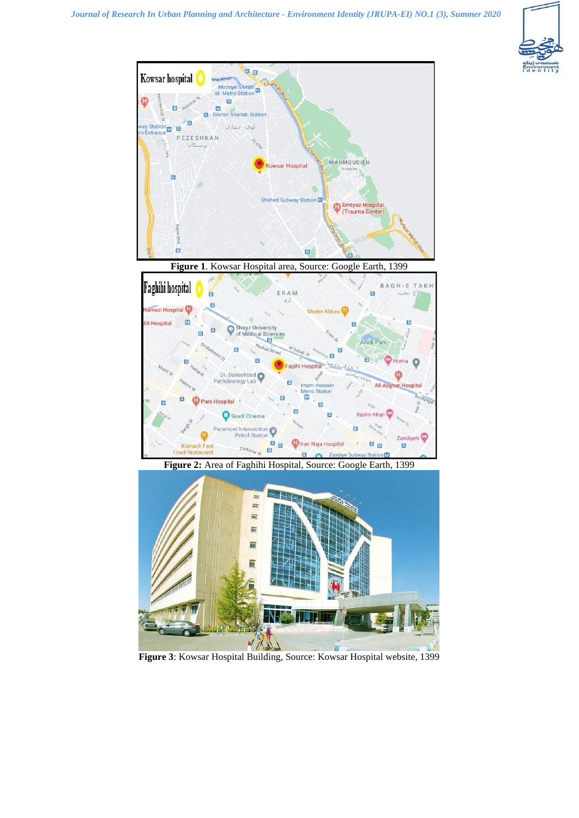





ro Station **IV** 

E

Tiran Naja Hospital

 $\blacksquare$ 

im Khar

 $B_B$ 

Zandiveh

 $\blacksquare$ 

Θ

Ē

 $B_{B}$ 

 $\Box$ 

o

E

<sup>1</sup> Pars Hospital

a

**Komach Fas** 

Food Restaura

Saadi Cinema

Paramont Intersection

 $z<sub>ol4n<sub>k<sub>g</sub></sub></sub>$ 

Petrol Station

**Figure 3**: Kowsar Hospital Building, Source: Kowsar Hospital website, 1399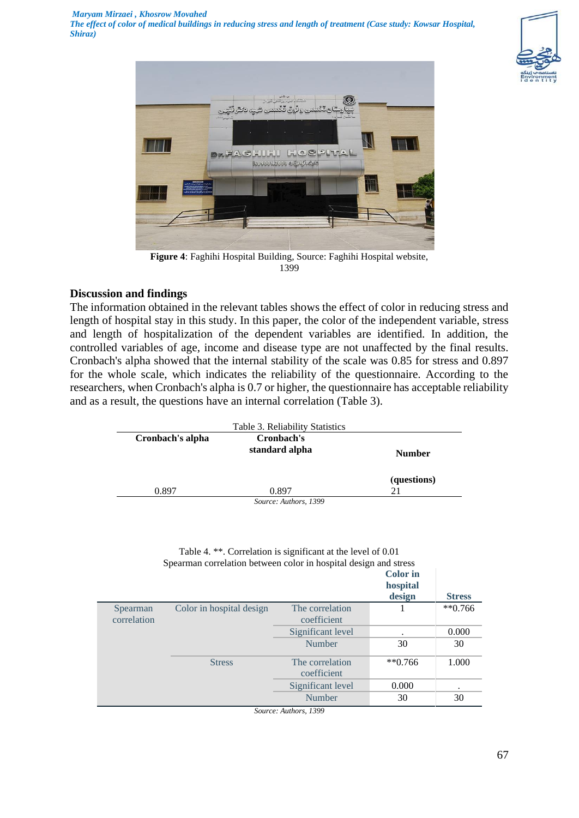



**Figure 4**: Faghihi Hospital Building, Source: Faghihi Hospital website, 1399

## **Discussion and findings**

The information obtained in the relevant tables shows the effect of color in reducing stress and length of hospital stay in this study. In this paper, the color of the independent variable, stress and length of hospitalization of the dependent variables are identified. In addition, the controlled variables of age, income and disease type are not unaffected by the final results. Cronbach's alpha showed that the internal stability of the scale was 0.85 for stress and 0.897 for the whole scale, which indicates the reliability of the questionnaire. According to the researchers, when Cronbach's alpha is 0.7 or higher, the questionnaire has acceptable reliability and as a result, the questions have an internal correlation (Table 3).

| Cronbach's alpha | Cronbach's<br>standard alpha | <b>Number</b> |
|------------------|------------------------------|---------------|
|                  |                              | (questions)   |
| 0.897            | 0.897                        | 21            |

|                         | Table 4. **. Correlation is significant at the level of 0.01<br>Spearman correlation between color in hospital design and stress |                                                   | <b>Color</b> in    |               |
|-------------------------|----------------------------------------------------------------------------------------------------------------------------------|---------------------------------------------------|--------------------|---------------|
|                         |                                                                                                                                  |                                                   | hospital<br>design | <b>Stress</b> |
| Spearman<br>correlation | Color in hospital design                                                                                                         | The correlation<br>coefficient                    |                    | $**0.766$     |
|                         |                                                                                                                                  | Significant level                                 |                    | 0.000         |
|                         |                                                                                                                                  | Number                                            | 30                 | 30            |
|                         | <b>Stress</b>                                                                                                                    | The correlation<br>coefficient                    | $**0.766$          | 1.000         |
|                         |                                                                                                                                  | Significant level                                 | 0.000              |               |
|                         |                                                                                                                                  | Number                                            | 30                 | 30            |
|                         |                                                                                                                                  | $C_{1}, \ldots, C_{n}$ And $C_{2}, \ldots, C_{n}$ |                    |               |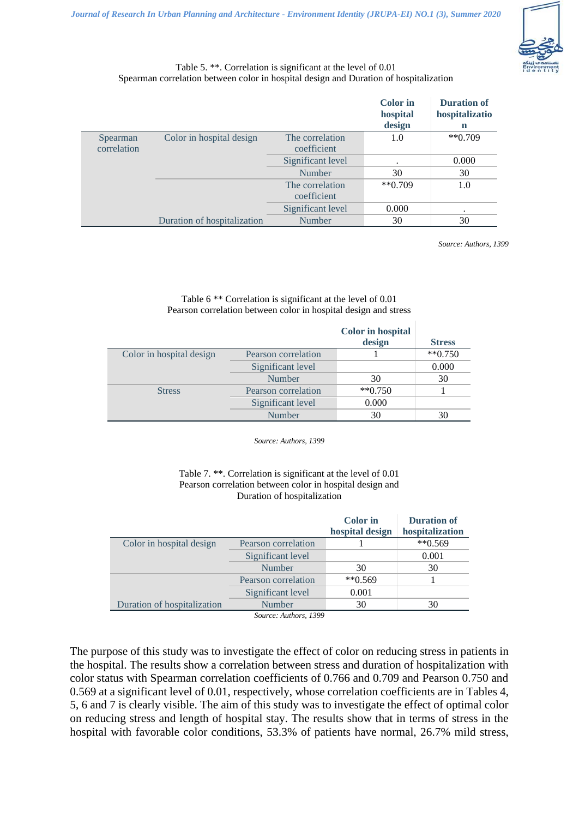

#### Table 5. \*\*. Correlation is significant at the level of 0.01 Spearman correlation between color in hospital design and Duration of hospitalization

|             |                             |                   | <b>Color</b> in<br>hospital | <b>Duration of</b><br>hospitalizatio |
|-------------|-----------------------------|-------------------|-----------------------------|--------------------------------------|
|             |                             |                   | design                      | n<br>$*$ <sup>6</sup> 0.709          |
| Spearman    | Color in hospital design    | The correlation   | 1.0                         |                                      |
| correlation |                             | coefficient       |                             |                                      |
|             |                             | Significant level |                             | 0.000                                |
|             |                             | Number            | 30                          | 30                                   |
|             |                             | The correlation   | $**0.709$                   | 1.0                                  |
|             |                             | coefficient       |                             |                                      |
|             |                             | Significant level | 0.000                       | ٠                                    |
|             | Duration of hospitalization | Number            | 30                          | 30                                   |

*Source: Authors, 1399*

#### Table 6 \*\* Correlation is significant at the level of 0.01 Pearson correlation between color in hospital design and stress

|                          |                     | <b>Color</b> in hospital |                      |
|--------------------------|---------------------|--------------------------|----------------------|
|                          |                     | design                   | <b>Stress</b>        |
| Color in hospital design | Pearson correlation |                          | $*$ <sup>0.750</sup> |
|                          | Significant level   |                          | 0.000                |
|                          | <b>Number</b>       | 30                       | 30                   |
| <b>Stress</b>            | Pearson correlation | $**0.750$                |                      |
|                          | Significant level   | 0.000                    |                      |
|                          | Number              | 30                       |                      |

*Source: Authors, 1399*

#### Table 7. \*\*. Correlation is significant at the level of 0.01 Pearson correlation between color in hospital design and Duration of hospitalization

| $**0.569$ |                                    |
|-----------|------------------------------------|
| 0.001     |                                    |
| 30<br>30  |                                    |
| $**0.569$ |                                    |
| 0.001     |                                    |
| 30<br>30  |                                    |
|           | hospital design<br>hospitalization |

*Source: Authors, 1399*

The purpose of this study was to investigate the effect of color on reducing stress in patients in the hospital. The results show a correlation between stress and duration of hospitalization with color status with Spearman correlation coefficients of 0.766 and 0.709 and Pearson 0.750 and 0.569 at a significant level of 0.01, respectively, whose correlation coefficients are in Tables 4, 5, 6 and 7 is clearly visible. The aim of this study was to investigate the effect of optimal color on reducing stress and length of hospital stay. The results show that in terms of stress in the hospital with favorable color conditions, 53.3% of patients have normal, 26.7% mild stress,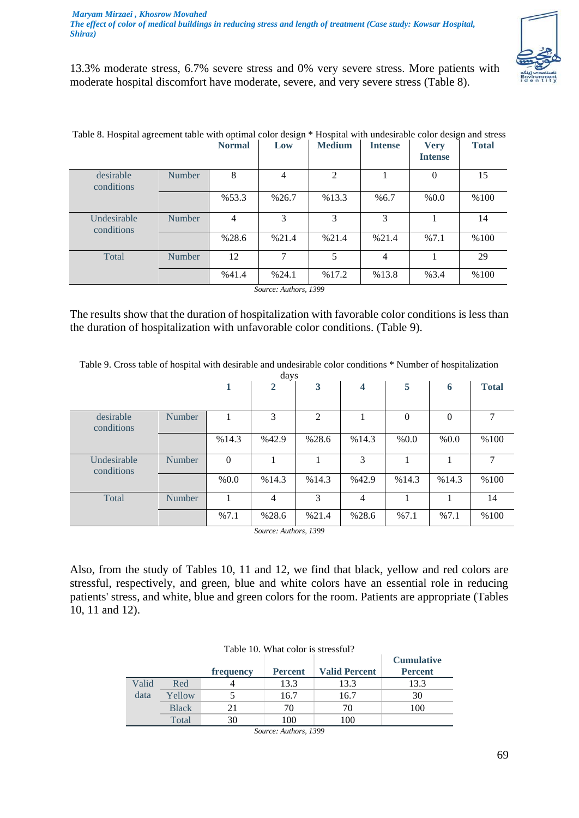

13.3% moderate stress, 6.7% severe stress and 0% very severe stress. More patients with moderate hospital discomfort have moderate, severe, and very severe stress (Table 8).

| Table 8. Hospital agreement table with optimal color design * Hospital with undesirable color design and stress |               | <b>Normal</b> | Low            | <b>Medium</b>  | <b>Intense</b> | <b>Very</b><br><b>Intense</b> | <b>Total</b> |
|-----------------------------------------------------------------------------------------------------------------|---------------|---------------|----------------|----------------|----------------|-------------------------------|--------------|
| desirable<br>conditions                                                                                         | <b>Number</b> | 8             | $\overline{4}$ | $\mathfrak{D}$ |                | $\Omega$                      | 15           |
|                                                                                                                 |               | %53.3         | %26.7          | %13.3          | %6.7           | % 0.0                         | %100         |
| Undesirable<br>conditions                                                                                       | Number        | 4             | $\mathcal{R}$  | 3              | 3              |                               | 14           |
|                                                                                                                 |               | %28.6         | %21.4          | %21.4          | %21.4          | %7.1                          | %100         |
| Total                                                                                                           | <b>Number</b> | 12            | 7              | 5              | 4              |                               | 29           |
|                                                                                                                 |               | %41.4         | %24.1          | %17.2          | %13.8          | %3.4                          | %100         |

The results show that the duration of hospitalization with favorable color conditions is less than the duration of hospitalization with unfavorable color conditions. (Table 9).

*Source: Authors, 1399*

Table 9. Cross table of hospital with desirable and undesirable color conditions \* Number of hospitalization

| days                      |        |          |                |       |       |                |                  |              |
|---------------------------|--------|----------|----------------|-------|-------|----------------|------------------|--------------|
|                           |        | 1        | $\overline{2}$ | 3     | 4     | 5              | 6                | <b>Total</b> |
|                           |        |          |                |       |       |                |                  |              |
| desirable<br>conditions   | Number | 1        | 3              | 2     |       | $\overline{0}$ | $\boldsymbol{0}$ | 7            |
|                           |        | %14.3    | %42.9          | %28.6 | %14.3 | % 0.0          | % 0.0            | %100         |
| Undesirable<br>conditions | Number | $\theta$ |                |       | 3     |                |                  | $\tau$       |
|                           |        | % 0.0    | %14.3          | %14.3 | %42.9 | %14.3          | %14.3            | %100         |
| Total                     | Number |          | 4              | 3     | 4     |                |                  | 14           |
|                           |        | %7.1     | %28.6          | %21.4 | %28.6 | %7.1           | %7.1             | %100         |

*Source: Authors, 1399*

Also, from the study of Tables 10, 11 and 12, we find that black, yellow and red colors are stressful, respectively, and green, blue and white colors have an essential role in reducing patients' stress, and white, blue and green colors for the room. Patients are appropriate (Tables 10, 11 and 12).

| Table 10. What color is stressful? |              |           |                |                      |                                     |  |  |
|------------------------------------|--------------|-----------|----------------|----------------------|-------------------------------------|--|--|
|                                    |              | frequency | <b>Percent</b> | <b>Valid Percent</b> | <b>Cumulative</b><br><b>Percent</b> |  |  |
| Valid                              | Red          |           | 13.3           | 13.3                 | 13.3                                |  |  |
| data                               | Yellow       |           | 16.7           | 16.7                 | 30                                  |  |  |
|                                    | <b>Black</b> | 21        | 70             | 70                   | 100                                 |  |  |
|                                    | Total        | 30        | 100            | 100                  |                                     |  |  |
|                                    |              | $\sim$    | $\blacksquare$ | 1200                 |                                     |  |  |

*Source: Authors, 1399*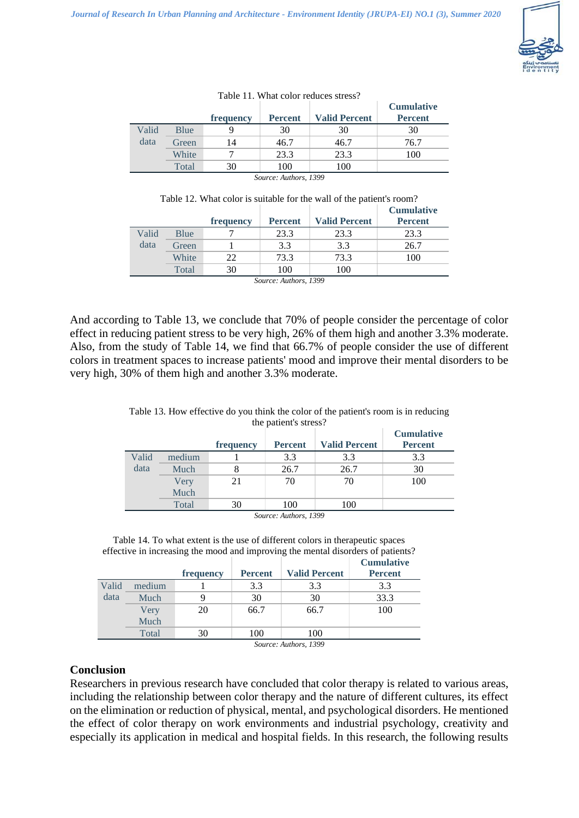

|       |       |           |                |                      | <b>Cumulative</b> |
|-------|-------|-----------|----------------|----------------------|-------------------|
|       |       | frequency | <b>Percent</b> | <b>Valid Percent</b> | <b>Percent</b>    |
| Valid | Blue  |           | 30             | 30                   | 30                |
| data  | Green | 14        | 46.7           | 46.7                 | 76.7              |
|       | White |           | 23.3           | 23.3                 | 100               |
|       | Total | 30        | 100            | 100                  |                   |

#### Table 11. What color reduces stress?

*Source: Authors, 1399*

| Table 12. What color is suitable for the wall of the patient's room? |       |           |                |                      |                   |  |  |
|----------------------------------------------------------------------|-------|-----------|----------------|----------------------|-------------------|--|--|
|                                                                      |       |           |                |                      | <b>Cumulative</b> |  |  |
|                                                                      |       | frequency | <b>Percent</b> | <b>Valid Percent</b> | <b>Percent</b>    |  |  |
| Valid                                                                | Blue  |           | 23.3           | 23.3                 | 23.3              |  |  |
| data                                                                 | Green |           | 3.3            | 3.3                  | 26.7              |  |  |
|                                                                      | White |           | 73.3           | 73.3                 | 100               |  |  |

| Source: Authors, 1399 |  |
|-----------------------|--|
|-----------------------|--|

Total 30 100 100

And according to Table 13, we conclude that 70% of people consider the percentage of color effect in reducing patient stress to be very high, 26% of them high and another 3.3% moderate. Also, from the study of Table 14, we find that 66.7% of people consider the use of different colors in treatment spaces to increase patients' mood and improve their mental disorders to be very high, 30% of them high and another 3.3% moderate.

|       |        | <b>Cumulative</b> |                                                                                |                      |                |  |
|-------|--------|-------------------|--------------------------------------------------------------------------------|----------------------|----------------|--|
|       |        | frequency         | <b>Percent</b>                                                                 | <b>Valid Percent</b> | <b>Percent</b> |  |
| Valid | medium |                   | 3.3                                                                            | 3.3                  | 3.3            |  |
| data  | Much   |                   | 26.7                                                                           | 26.7                 | 30             |  |
|       | Very   | 21                | 70                                                                             | 70                   | 100            |  |
|       | Much   |                   |                                                                                |                      |                |  |
|       | Total  | 30                | 100                                                                            | 100                  |                |  |
|       |        |                   | $C_{1}, C_{2}, C_{3}, C_{4}, A_{5}, C_{5}, C_{6}, C_{7}, C_{8}, C_{9}, C_{10}$ |                      |                |  |

#### Table 13. How effective do you think the color of the patient's room is in reducing the patient's stress?

*Source: Authors, 1399*

Table 14. To what extent is the use of different colors in therapeutic spaces effective in increasing the mood and improving the mental disorders of patients?

|       |                                                 | frequency | <b>Percent</b> | <b>Valid Percent</b> | <b>Cumulative</b><br><b>Percent</b> |  |  |  |
|-------|-------------------------------------------------|-----------|----------------|----------------------|-------------------------------------|--|--|--|
| Valid | medium                                          |           | 3.3            | 3.3                  | 3.3                                 |  |  |  |
| data  | Much                                            | q         | 30             | 30                   | 33.3                                |  |  |  |
|       | Very                                            | 20        | 66.7           | 66.7                 | 100                                 |  |  |  |
|       | Much                                            |           |                |                      |                                     |  |  |  |
|       | Total                                           | 30        | 100            | 100                  |                                     |  |  |  |
|       | $\rightarrow$ 0.00<br>$\cdot$ $\cdot$<br>$\sim$ |           |                |                      |                                     |  |  |  |

*Source: Authors, 1399*

## **Conclusion**

Researchers in previous research have concluded that color therapy is related to various areas, including the relationship between color therapy and the nature of different cultures, its effect on the elimination or reduction of physical, mental, and psychological disorders. He mentioned the effect of color therapy on work environments and industrial psychology, creativity and especially its application in medical and hospital fields. In this research, the following results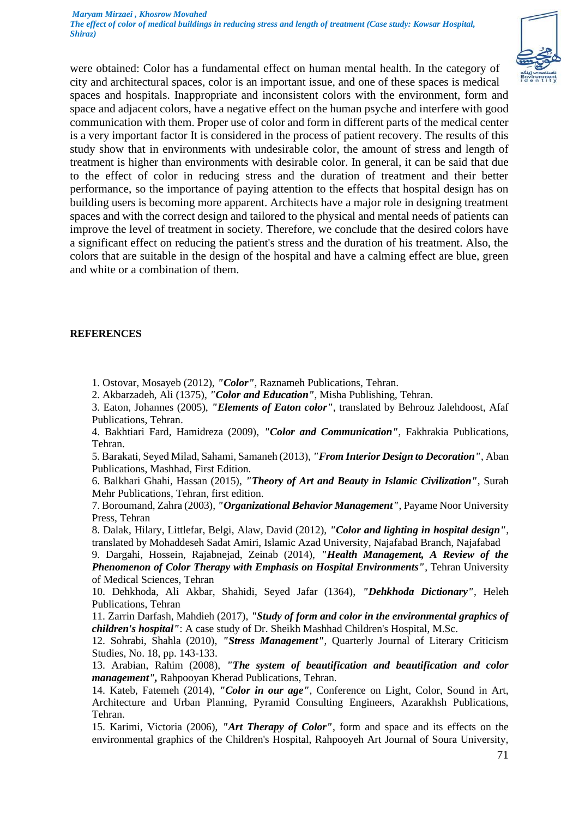

were obtained: Color has a fundamental effect on human mental health. In the category of city and architectural spaces, color is an important issue, and one of these spaces is medical spaces and hospitals. Inappropriate and inconsistent colors with the environment, form and space and adjacent colors, have a negative effect on the human psyche and interfere with good communication with them. Proper use of color and form in different parts of the medical center is a very important factor It is considered in the process of patient recovery. The results of this study show that in environments with undesirable color, the amount of stress and length of treatment is higher than environments with desirable color. In general, it can be said that due to the effect of color in reducing stress and the duration of treatment and their better performance, so the importance of paying attention to the effects that hospital design has on building users is becoming more apparent. Architects have a major role in designing treatment spaces and with the correct design and tailored to the physical and mental needs of patients can improve the level of treatment in society. Therefore, we conclude that the desired colors have a significant effect on reducing the patient's stress and the duration of his treatment. Also, the colors that are suitable in the design of the hospital and have a calming effect are blue, green and white or a combination of them.

#### **REFERENCES**

- 1. Ostovar, Mosayeb (2012), *"Color"*, Raznameh Publications, Tehran.
- 2. Akbarzadeh, Ali (1375), *"Color and Education"*, Misha Publishing, Tehran.

3. Eaton, Johannes (2005), *"Elements of Eaton color"*, translated by Behrouz Jalehdoost, Afaf Publications, Tehran.

4. Bakhtiari Fard, Hamidreza (2009), *"Color and Communication"*, Fakhrakia Publications, Tehran.

5. Barakati, Seyed Milad, Sahami, Samaneh (2013), *"From Interior Design to Decoration"*, Aban Publications, Mashhad, First Edition.

6. Balkhari Ghahi, Hassan (2015), *"Theory of Art and Beauty in Islamic Civilization"*, Surah Mehr Publications, Tehran, first edition.

7. Boroumand, Zahra (2003), *"Organizational Behavior Management"*, Payame Noor University Press, Tehran

8. Dalak, Hilary, Littlefar, Belgi, Alaw, David (2012), *"Color and lighting in hospital design"*, translated by Mohaddeseh Sadat Amiri, Islamic Azad University, Najafabad Branch, Najafabad

9. Dargahi, Hossein, Rajabnejad, Zeinab (2014), *"Health Management, A Review of the Phenomenon of Color Therapy with Emphasis on Hospital Environments"*, Tehran University of Medical Sciences, Tehran

10. Dehkhoda, Ali Akbar, Shahidi, Seyed Jafar (1364), *"Dehkhoda Dictionary"*, Heleh Publications, Tehran

11. Zarrin Darfash, Mahdieh (2017), *"Study of form and color in the environmental graphics of children's hospital"*: A case study of Dr. Sheikh Mashhad Children's Hospital, M.Sc.

12. Sohrabi, Shahla (2010), *"Stress Management"*, Quarterly Journal of Literary Criticism Studies, No. 18, pp. 143-133.

13. Arabian, Rahim (2008), *"The system of beautification and beautification and color management",* Rahpooyan Kherad Publications, Tehran.

14. Kateb, Fatemeh (2014), *"Color in our age"*, Conference on Light, Color, Sound in Art, Architecture and Urban Planning, Pyramid Consulting Engineers, Azarakhsh Publications, Tehran.

15. Karimi, Victoria (2006), *"Art Therapy of Color"*, form and space and its effects on the environmental graphics of the Children's Hospital, Rahpooyeh Art Journal of Soura University,